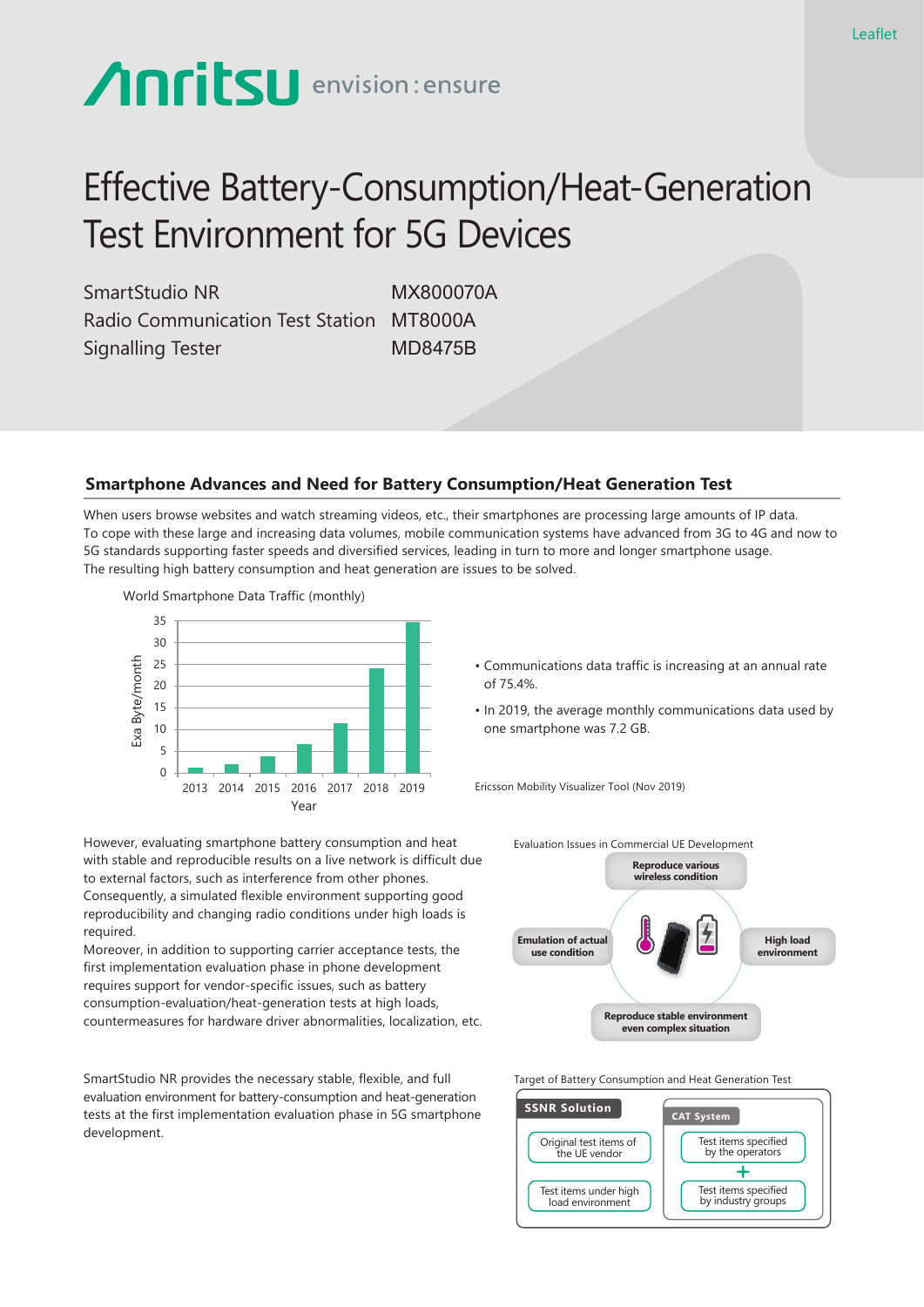# **Anritsu** envision: ensure

## Effective Battery-Consumption/Heat-Generation Test Environment for 5G Devices

SmartStudio NR MX800070A Radio Communication Test Station MT8000A Signalling Tester MD8475B

### **Smartphone Advances and Need for Battery Consumption/Heat Generation Test**

When users browse websites and watch streaming videos, etc., their smartphones are processing large amounts of IP data. To cope with these large and increasing data volumes, mobile communication systems have advanced from 3G to 4G and now to 5G standards supporting faster speeds and diversified services, leading in turn to more and longer smartphone usage. The resulting high battery consumption and heat generation are issues to be solved.



However, evaluating smartphone battery consumption and heat with stable and reproducible results on a live network is difficult due to external factors, such as interference from other phones. Consequently, a simulated flexible environment supporting good reproducibility and changing radio conditions under high loads is required.

Moreover, in addition to supporting carrier acceptance tests, the first implementation evaluation phase in phone development requires support for vendor-specific issues, such as battery consumption-evaluation/heat-generation tests at high loads, countermeasures for hardware driver abnormalities, localization, etc.

SmartStudio NR provides the necessary stable, flexible, and full evaluation environment for battery-consumption and heat-generation tests at the first implementation evaluation phase in 5G smartphone development.

- Communications data traffic is increasing at an annual rate of 75.4%.
- In 2019, the average monthly communications data used by one smartphone was 7.2 GB.

Ericsson Mobility Visualizer Tool (Nov 2019)



Target of Battery Consumption and Heat Generation Test